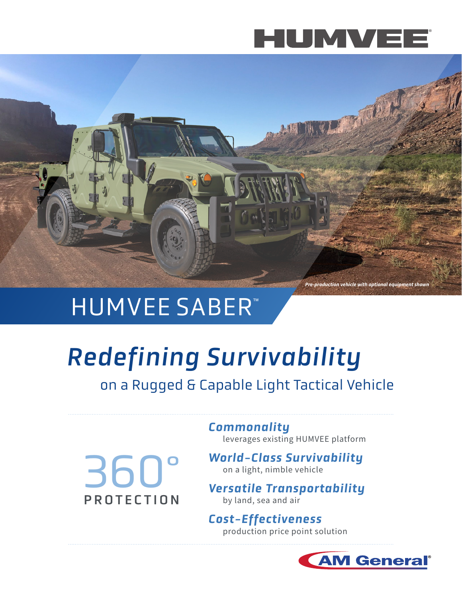



### **HUMVEE SABER™**

# *Redefining Survivability*

on a Rugged & Capable Light Tactical Vehicle

360° PROTECTION *Commonality*  leverages existing HUMVEE platform

*World-Class Survivability*  on a light, nimble vehicle

*Versatile Transportability*  by land, sea and air

*Cost-Effectiveness*  production price point solution